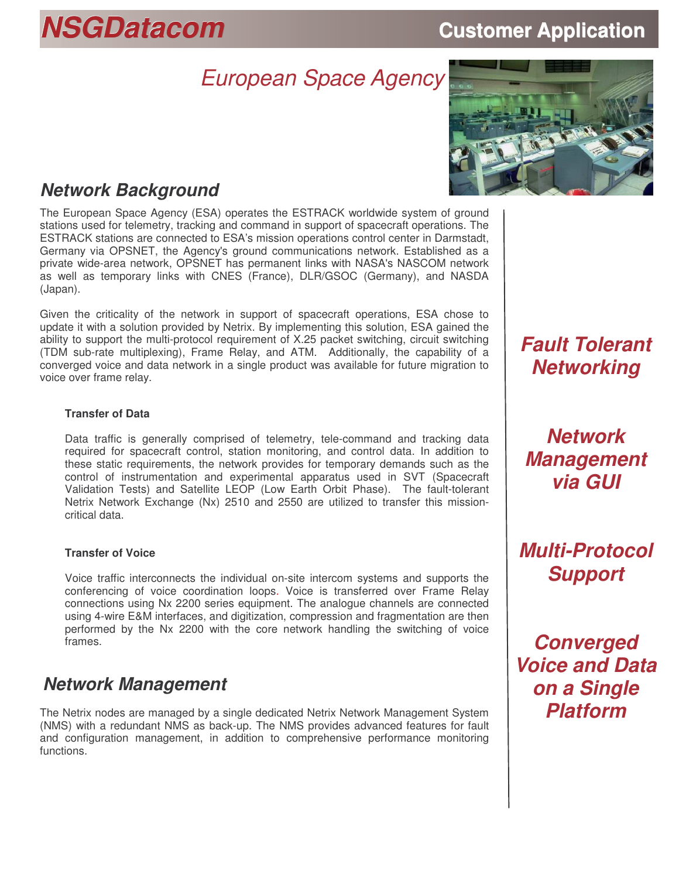# *NSGDatacom* **Customer Application**

# *European Space Agency*



# *Network Background*

The European Space Agency (ESA) operates the ESTRACK worldwide system of ground stations used for telemetry, tracking and command in support of spacecraft operations. The ESTRACK stations are connected to ESA's mission operations control center in Darmstadt, Germany via OPSNET, the Agency's ground communications network. Established as a private wide-area network, OPSNET has permanent links with NASA's NASCOM network as well as temporary links with CNES (France), DLR/GSOC (Germany), and NASDA (Japan).

Given the criticality of the network in support of spacecraft operations, ESA chose to update it with a solution provided by Netrix. By implementing this solution, ESA gained the ability to support the multi-protocol requirement of X.25 packet switching, circuit switching (TDM sub-rate multiplexing), Frame Relay, and ATM. Additionally, the capability of a converged voice and data network in a single product was available for future migration to voice over frame relay.

#### **Transfer of Data**

Data traffic is generally comprised of telemetry, tele-command and tracking data required for spacecraft control, station monitoring, and control data. In addition to these static requirements, the network provides for temporary demands such as the control of instrumentation and experimental apparatus used in SVT (Spacecraft Validation Tests) and Satellite LEOP (Low Earth Orbit Phase). The fault-tolerant Netrix Network Exchange (Nx) 2510 and 2550 are utilized to transfer this missioncritical data.

#### **Transfer of Voice**

Voice traffic interconnects the individual on-site intercom systems and supports the conferencing of voice coordination loops. Voice is transferred over Frame Relay connections using Nx 2200 series equipment. The analogue channels are connected using 4-wire E&M interfaces, and digitization, compression and fragmentation are then performed by the Nx 2200 with the core network handling the switching of voice frames.

### *Network Management*

The Netrix nodes are managed by a single dedicated Netrix Network Management System (NMS) with a redundant NMS as back-up. The NMS provides advanced features for fault and configuration management, in addition to comprehensive performance monitoring functions.

# *Fault Tolerant Networking*

*Network Management via GUI*

*Multi-Protocol Support*

*Converged Voice and Data on a Single Platform*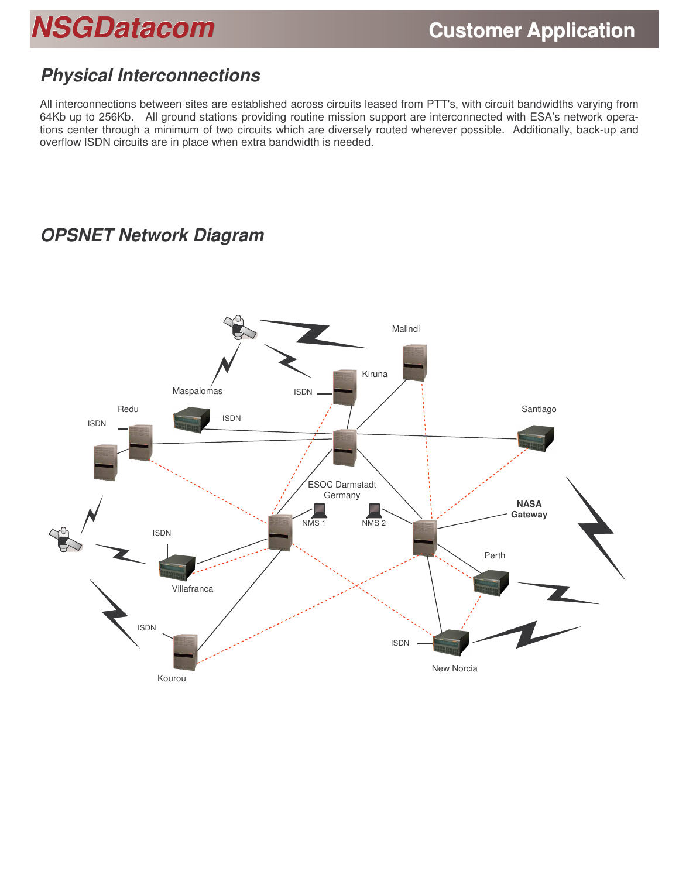# *NSGDatacom* **Customer Application**

# *Physical Interconnections*

All interconnections between sites are established across circuits leased from PTT's, with circuit bandwidths varying from 64Kb up to 256Kb. All ground stations providing routine mission support are interconnected with ESA's network operations center through a minimum of two circuits which are diversely routed wherever possible. Additionally, back-up and overflow ISDN circuits are in place when extra bandwidth is needed.

# *OPSNET Network Diagram*

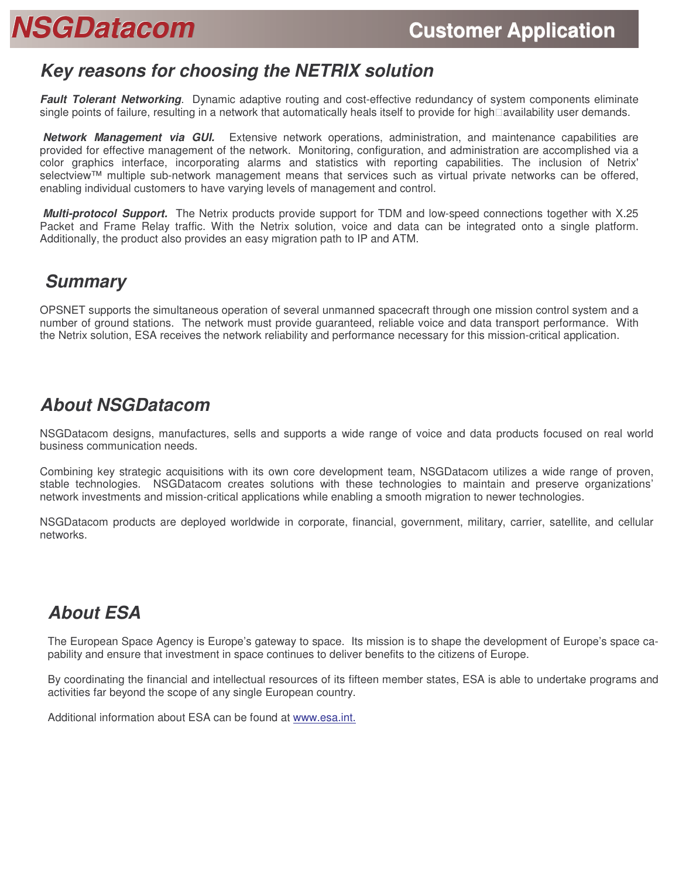# *NSGDatacom* **Customer Application**

## *Key reasons for choosing the NETRIX solution*

*Fault Tolerant Networking*. Dynamic adaptive routing and cost-effective redundancy of system components eliminate single points of failure, resulting in a network that automatically heals itself to provide for high availability user demands.

*Network Management via GUI.* Extensive network operations, administration, and maintenance capabilities are provided for effective management of the network. Monitoring, configuration, and administration are accomplished via a color graphics interface, incorporating alarms and statistics with reporting capabilities. The inclusion of Netrix' selectview™ multiple sub-network management means that services such as virtual private networks can be offered, enabling individual customers to have varying levels of management and control.

*Multi-protocol Support.* The Netrix products provide support for TDM and low-speed connections together with X.25 Packet and Frame Relay traffic. With the Netrix solution, voice and data can be integrated onto a single platform. Additionally, the product also provides an easy migration path to IP and ATM.

### *Summary*

OPSNET supports the simultaneous operation of several unmanned spacecraft through one mission control system and a number of ground stations. The network must provide guaranteed, reliable voice and data transport performance. With the Netrix solution, ESA receives the network reliability and performance necessary for this mission-critical application.

# *About NSGDatacom*

NSGDatacom designs, manufactures, sells and supports a wide range of voice and data products focused on real world business communication needs.

Combining key strategic acquisitions with its own core development team, NSGDatacom utilizes a wide range of proven, stable technologies. NSGDatacom creates solutions with these technologies to maintain and preserve organizations' network investments and mission-critical applications while enabling a smooth migration to newer technologies.

NSGDatacom products are deployed worldwide in corporate, financial, government, military, carrier, satellite, and cellular networks.

# *About ESA*

The European Space Agency is Europe's gateway to space. Its mission is to shape the development of Europe's space capability and ensure that investment in space continues to deliver benefits to the citizens of Europe.

By coordinating the financial and intellectual resources of its fifteen member states, ESA is able to undertake programs and activities far beyond the scope of any single European country.

Additional information about ESA can be found at www.esa.int.